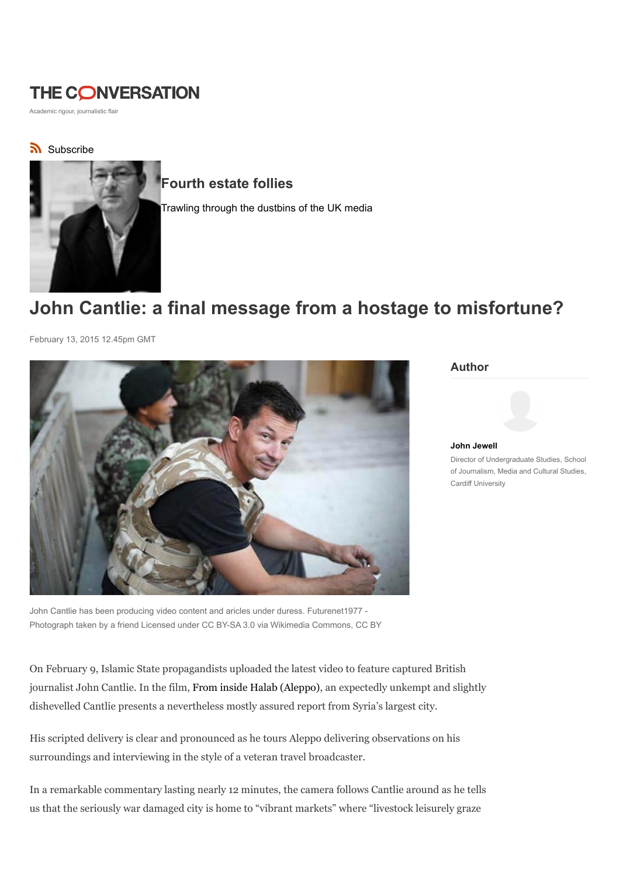# **THE CONVERSATION**

Academic rigour, journalistic flair

## Subscribe



## Fourth estate follies

Trawling through the dustbins of the UK media

# John Cantlie: a final message from a hostage to misfortune?

February 13, 2015 12.45pm GMT



Author

John Jewell

Director of Undergraduate Studies, School of Journalism, Media and Cultural Studies, Cardiff University

John Cantlie has been producing video content and aricles under duress. Futurenet1977 - Photograph taken by a friend Licensed under CC BY-SA 3.0 via Wikimedia Commons, CC BY

On February 9, Islamic State propagandists uploaded the latest video to feature captured British journalist John Cantlie. In the film, From inside Halab (Aleppo), an expectedly unkempt and slightly dishevelled Cantlie presents a nevertheless mostly assured report from Syria's largest city.

His scripted delivery is clear and pronounced as he tours Aleppo delivering observations on his surroundings and interviewing in the style of a veteran travel broadcaster.

In a remarkable commentary lasting nearly 12 minutes, the camera follows Cantlie around as he tells us that the seriously war damaged city is home to "vibrant markets" where "livestock leisurely graze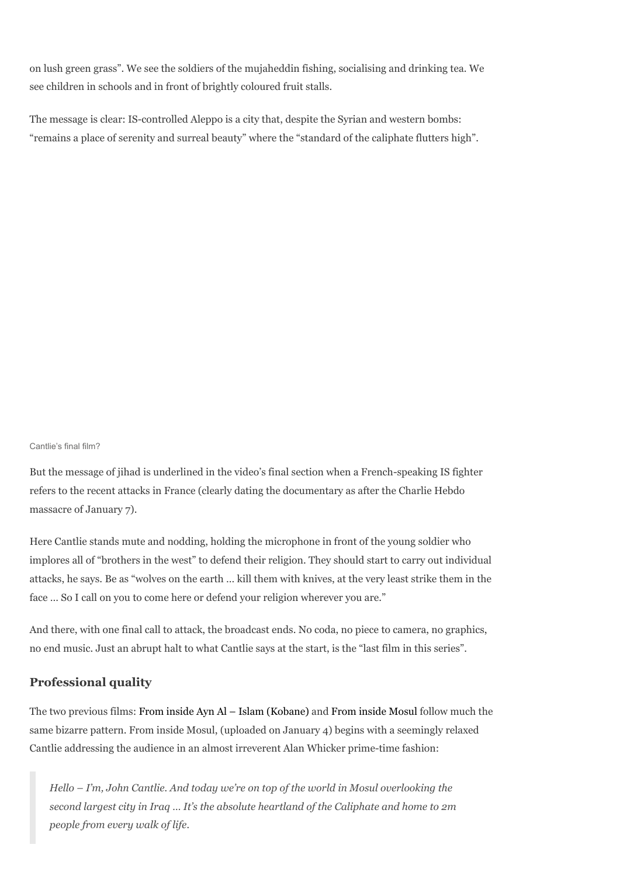on lush green grass". We see the soldiers of the mujaheddin fishing, socialising and drinking tea. We see children in schools and in front of brightly coloured fruit stalls.

The message is clear: IS-controlled Aleppo is a city that, despite the Syrian and western bombs: "remains a place of serenity and surreal beauty" where the "standard of the caliphate flutters high".

Cantlie's final film?

But the message of jihad is underlined in the video's final section when a French-speaking IS fighter refers to the recent attacks in France (clearly dating the documentary as after the Charlie Hebdo massacre of January 7).

Here Cantlie stands mute and nodding, holding the microphone in front of the young soldier who implores all of "brothers in the west" to defend their religion. They should start to carry out individual attacks, he says. Be as "wolves on the earth … kill them with knives, at the very least strike them in the face … So I call on you to come here or defend your religion wherever you are."

And there, with one final call to attack, the broadcast ends. No coda, no piece to camera, no graphics, no end music. Just an abrupt halt to what Cantlie says at the start, is the "last film in this series".

### Professional quality

The two previous films: From inside Ayn Al – Islam (Kobane) and From inside Mosul follow much the same bizarre pattern. From inside Mosul, (uploaded on January 4) begins with a seemingly relaxed Cantlie addressing the audience in an almost irreverent Alan Whicker prime-time fashion:

Hello – I'm, John Cantlie. And today we're on top of the world in Mosul overlooking the second largest city in Iraq … It's the absolute heartland of the Caliphate and home to 2m people from every walk of life.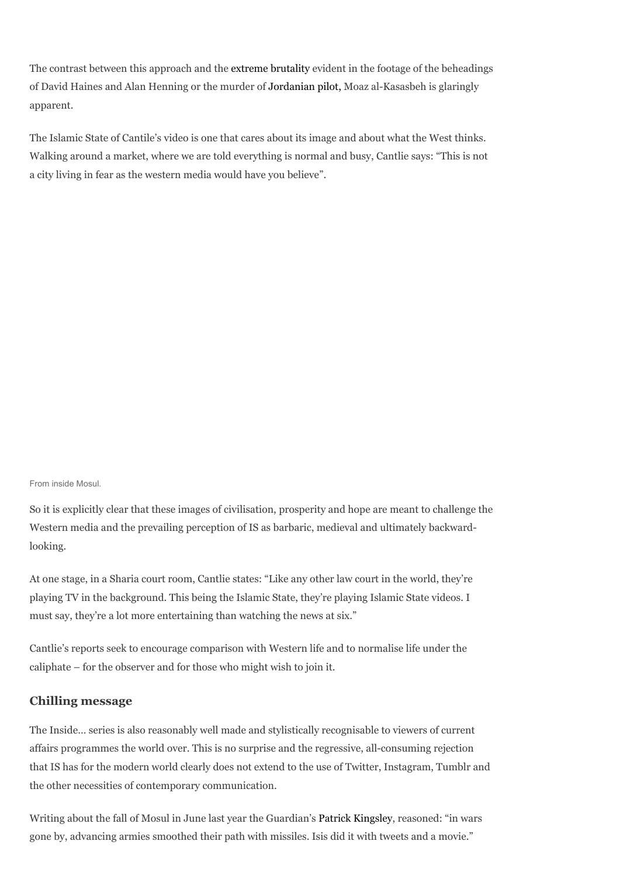The contrast between this approach and the extreme brutality evident in the footage of the beheadings of David Haines and Alan Henning or the murder of Jordanian pilot, Moaz al-Kasasbeh is glaringly apparent.

The Islamic State of Cantile's video is one that cares about its image and about what the West thinks. Walking around a market, where we are told everything is normal and busy, Cantlie says: "This is not a city living in fear as the western media would have you believe".

#### From inside Mosul.

So it is explicitly clear that these images of civilisation, prosperity and hope are meant to challenge the Western media and the prevailing perception of IS as barbaric, medieval and ultimately backwardlooking.

At one stage, in a Sharia court room, Cantlie states: "Like any other law court in the world, they're playing TV in the background. This being the Islamic State, they're playing Islamic State videos. I must say, they're a lot more entertaining than watching the news at six."

Cantlie's reports seek to encourage comparison with Western life and to normalise life under the caliphate – for the observer and for those who might wish to join it.

#### Chilling message

The Inside… series is also reasonably well made and stylistically recognisable to viewers of current affairs programmes the world over. This is no surprise and the regressive, all-consuming rejection that IS has for the modern world clearly does not extend to the use of Twitter, Instagram, Tumblr and the other necessities of contemporary communication.

Writing about the fall of Mosul in June last year the Guardian's Patrick Kingsley, reasoned: "in wars gone by, advancing armies smoothed their path with missiles. Isis did it with tweets and a movie."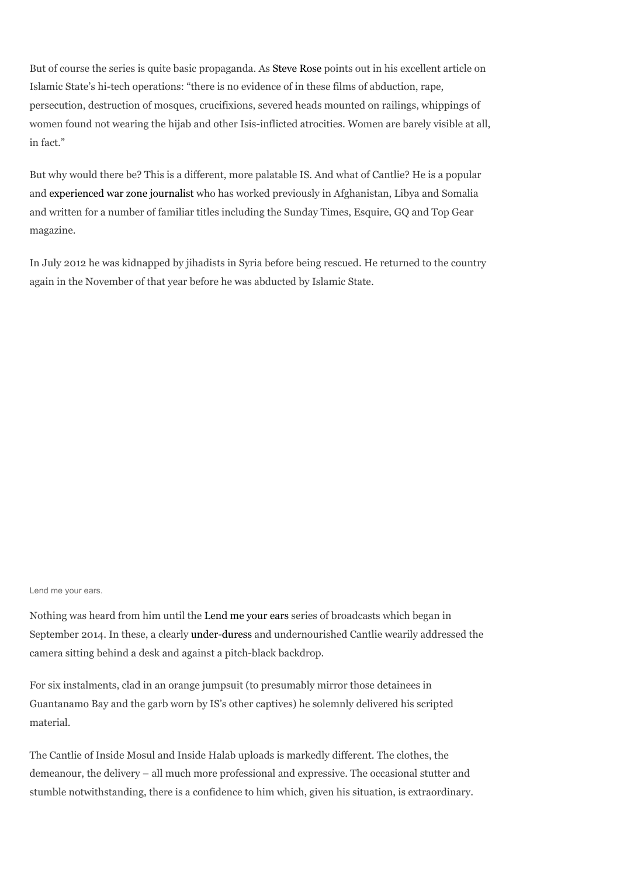But of course the series is quite basic propaganda. As Steve Rose points out in his excellent article on Islamic State's hi-tech operations: "there is no evidence of in these films of abduction, rape, persecution, destruction of mosques, crucifixions, severed heads mounted on railings, whippings of women found not wearing the hijab and other Isis-inflicted atrocities. Women are barely visible at all, in fact."

But why would there be? This is a different, more palatable IS. And what of Cantlie? He is a popular and experienced war zone journalist who has worked previously in Afghanistan, Libya and Somalia and written for a number of familiar titles including the Sunday Times, Esquire, GQ and Top Gear magazine.

In July 2012 he was kidnapped by jihadists in Syria before being rescued. He returned to the country again in the November of that year before he was abducted by Islamic State.

Lend me your ears.

Nothing was heard from him until the Lend me your ears series of broadcasts which began in September 2014. In these, a clearly under-duress and undernourished Cantlie wearily addressed the camera sitting behind a desk and against a pitch-black backdrop.

For six instalments, clad in an orange jumpsuit (to presumably mirror those detainees in Guantanamo Bay and the garb worn by IS's other captives) he solemnly delivered his scripted material.

The Cantlie of Inside Mosul and Inside Halab uploads is markedly different. The clothes, the demeanour, the delivery – all much more professional and expressive. The occasional stutter and stumble notwithstanding, there is a confidence to him which, given his situation, is extraordinary.